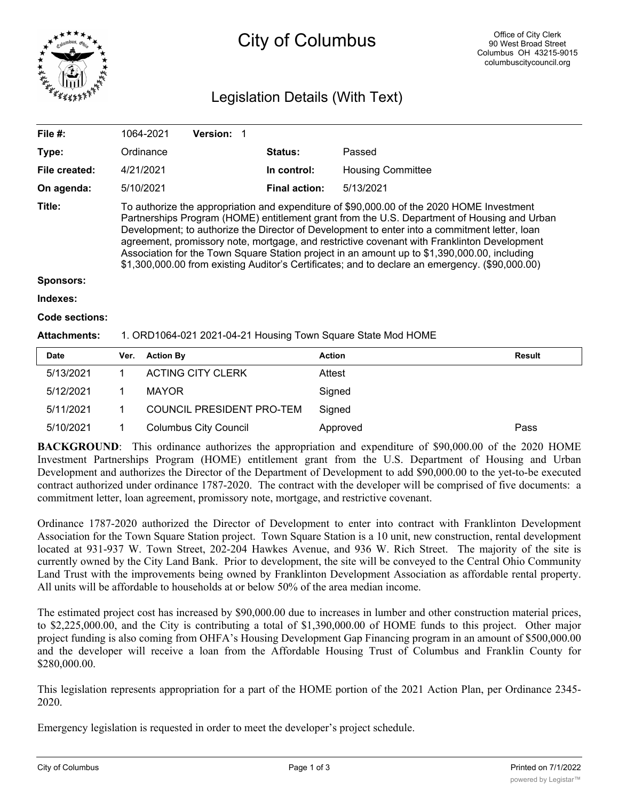

# City of Columbus

## Legislation Details (With Text)

| File #:             | 1064-2021                                                                                                                                                                                                                                                                                                                                                                                                                                                                                                                                                                                   | <b>Version: 1</b> |                      |                                                              |  |  |
|---------------------|---------------------------------------------------------------------------------------------------------------------------------------------------------------------------------------------------------------------------------------------------------------------------------------------------------------------------------------------------------------------------------------------------------------------------------------------------------------------------------------------------------------------------------------------------------------------------------------------|-------------------|----------------------|--------------------------------------------------------------|--|--|
| Type:               | Ordinance                                                                                                                                                                                                                                                                                                                                                                                                                                                                                                                                                                                   |                   | <b>Status:</b>       | Passed                                                       |  |  |
| File created:       | 4/21/2021                                                                                                                                                                                                                                                                                                                                                                                                                                                                                                                                                                                   |                   | In control:          | <b>Housing Committee</b>                                     |  |  |
| On agenda:          | 5/10/2021                                                                                                                                                                                                                                                                                                                                                                                                                                                                                                                                                                                   |                   | <b>Final action:</b> | 5/13/2021                                                    |  |  |
| Title:              | To authorize the appropriation and expenditure of \$90,000.00 of the 2020 HOME Investment<br>Partnerships Program (HOME) entitlement grant from the U.S. Department of Housing and Urban<br>Development; to authorize the Director of Development to enter into a commitment letter, loan<br>agreement, promissory note, mortgage, and restrictive covenant with Franklinton Development<br>Association for the Town Square Station project in an amount up to \$1,390,000.00, including<br>\$1,300,000.00 from existing Auditor's Certificates; and to declare an emergency. (\$90,000.00) |                   |                      |                                                              |  |  |
| <b>Sponsors:</b>    |                                                                                                                                                                                                                                                                                                                                                                                                                                                                                                                                                                                             |                   |                      |                                                              |  |  |
| Indexes:            |                                                                                                                                                                                                                                                                                                                                                                                                                                                                                                                                                                                             |                   |                      |                                                              |  |  |
| Code sections:      |                                                                                                                                                                                                                                                                                                                                                                                                                                                                                                                                                                                             |                   |                      |                                                              |  |  |
| <b>Attachments:</b> |                                                                                                                                                                                                                                                                                                                                                                                                                                                                                                                                                                                             |                   |                      | 1. ORD1064-021 2021-04-21 Housing Town Square State Mod HOME |  |  |
|                     |                                                                                                                                                                                                                                                                                                                                                                                                                                                                                                                                                                                             |                   |                      |                                                              |  |  |

| <b>Date</b> | Ver. | <b>Action By</b>             | <b>Action</b> | <b>Result</b> |
|-------------|------|------------------------------|---------------|---------------|
| 5/13/2021   |      | <b>ACTING CITY CLERK</b>     | Attest        |               |
| 5/12/2021   |      | <b>MAYOR</b>                 | Signed        |               |
| 5/11/2021   |      | COUNCIL PRESIDENT PRO-TEM    | Sianed        |               |
| 5/10/2021   |      | <b>Columbus City Council</b> | Approved      | Pass          |

**BACKGROUND**: This ordinance authorizes the appropriation and expenditure of \$90,000.00 of the 2020 HOME Investment Partnerships Program (HOME) entitlement grant from the U.S. Department of Housing and Urban Development and authorizes the Director of the Department of Development to add \$90,000.00 to the yet-to-be executed contract authorized under ordinance 1787-2020. The contract with the developer will be comprised of five documents: a commitment letter, loan agreement, promissory note, mortgage, and restrictive covenant.

Ordinance 1787-2020 authorized the Director of Development to enter into contract with Franklinton Development Association for the Town Square Station project. Town Square Station is a 10 unit, new construction, rental development located at 931-937 W. Town Street, 202-204 Hawkes Avenue, and 936 W. Rich Street. The majority of the site is currently owned by the City Land Bank. Prior to development, the site will be conveyed to the Central Ohio Community Land Trust with the improvements being owned by Franklinton Development Association as affordable rental property. All units will be affordable to households at or below 50% of the area median income.

The estimated project cost has increased by \$90,000.00 due to increases in lumber and other construction material prices, to \$2,225,000.00, and the City is contributing a total of \$1,390,000.00 of HOME funds to this project. Other major project funding is also coming from OHFA's Housing Development Gap Financing program in an amount of \$500,000.00 and the developer will receive a loan from the Affordable Housing Trust of Columbus and Franklin County for \$280,000.00.

This legislation represents appropriation for a part of the HOME portion of the 2021 Action Plan, per Ordinance 2345- 2020.

Emergency legislation is requested in order to meet the developer's project schedule.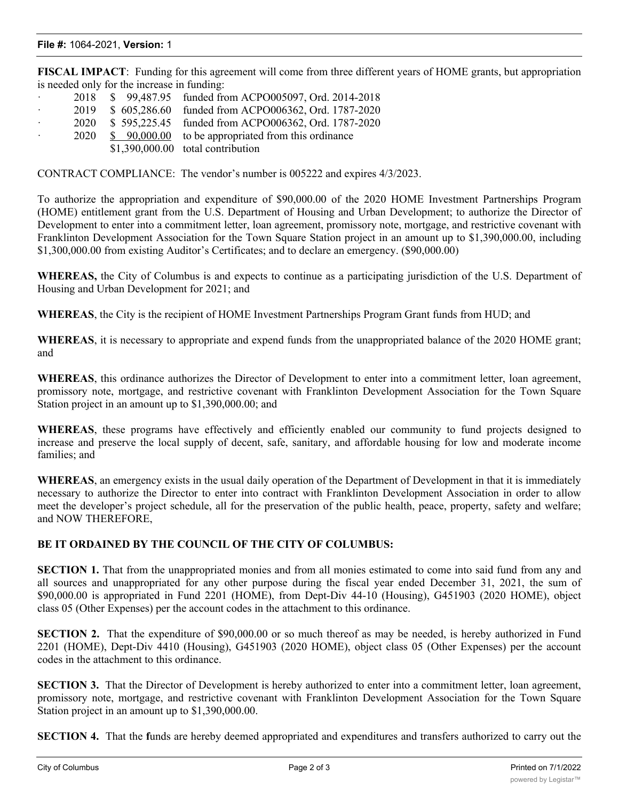#### **File #:** 1064-2021, **Version:** 1

**FISCAL IMPACT**: Funding for this agreement will come from three different years of HOME grants, but appropriation is needed only for the increase in funding:

| $\sim$ 100 $\mu$     |      | 2018 \$99,487.95 funded from ACPO005097, Ord. 2014-2018   |
|----------------------|------|-----------------------------------------------------------|
| $\ddot{\phantom{0}}$ |      | 2019 \$ 605,286.60 funded from ACPO006362, Ord. 1787-2020 |
| $\sim$ 100 $\mu$     |      | 2020 \$595,225.45 funded from ACPO006362, Ord. 1787-2020  |
| $\ddot{\phantom{0}}$ | 2020 | $$90,000.00$ to be appropriated from this ordinance       |
|                      |      | $$1,390,000.00$ total contribution                        |
|                      |      |                                                           |

CONTRACT COMPLIANCE: The vendor's number is 005222 and expires 4/3/2023.

To authorize the appropriation and expenditure of \$90,000.00 of the 2020 HOME Investment Partnerships Program (HOME) entitlement grant from the U.S. Department of Housing and Urban Development; to authorize the Director of Development to enter into a commitment letter, loan agreement, promissory note, mortgage, and restrictive covenant with Franklinton Development Association for the Town Square Station project in an amount up to \$1,390,000.00, including \$1,300,000.00 from existing Auditor's Certificates; and to declare an emergency. (\$90,000.00)

**WHEREAS,** the City of Columbus is and expects to continue as a participating jurisdiction of the U.S. Department of Housing and Urban Development for 2021; and

**WHEREAS**, the City is the recipient of HOME Investment Partnerships Program Grant funds from HUD; and

**WHEREAS**, it is necessary to appropriate and expend funds from the unappropriated balance of the 2020 HOME grant; and

**WHEREAS**, this ordinance authorizes the Director of Development to enter into a commitment letter, loan agreement, promissory note, mortgage, and restrictive covenant with Franklinton Development Association for the Town Square Station project in an amount up to \$1,390,000.00; and

**WHEREAS**, these programs have effectively and efficiently enabled our community to fund projects designed to increase and preserve the local supply of decent, safe, sanitary, and affordable housing for low and moderate income families; and

**WHEREAS**, an emergency exists in the usual daily operation of the Department of Development in that it is immediately necessary to authorize the Director to enter into contract with Franklinton Development Association in order to allow meet the developer's project schedule, all for the preservation of the public health, peace, property, safety and welfare; and NOW THEREFORE,

### **BE IT ORDAINED BY THE COUNCIL OF THE CITY OF COLUMBUS:**

**SECTION 1.** That from the unappropriated monies and from all monies estimated to come into said fund from any and all sources and unappropriated for any other purpose during the fiscal year ended December 31, 2021, the sum of \$90,000.00 is appropriated in Fund 2201 (HOME), from Dept-Div 44-10 (Housing), G451903 (2020 HOME), object class 05 (Other Expenses) per the account codes in the attachment to this ordinance.

**SECTION 2.** That the expenditure of \$90,000.00 or so much thereof as may be needed, is hereby authorized in Fund 2201 (HOME), Dept-Div 4410 (Housing), G451903 (2020 HOME), object class 05 (Other Expenses) per the account codes in the attachment to this ordinance.

**SECTION 3.** That the Director of Development is hereby authorized to enter into a commitment letter, loan agreement, promissory note, mortgage, and restrictive covenant with Franklinton Development Association for the Town Square Station project in an amount up to \$1,390,000.00.

**SECTION 4.** That the **f**unds are hereby deemed appropriated and expenditures and transfers authorized to carry out the